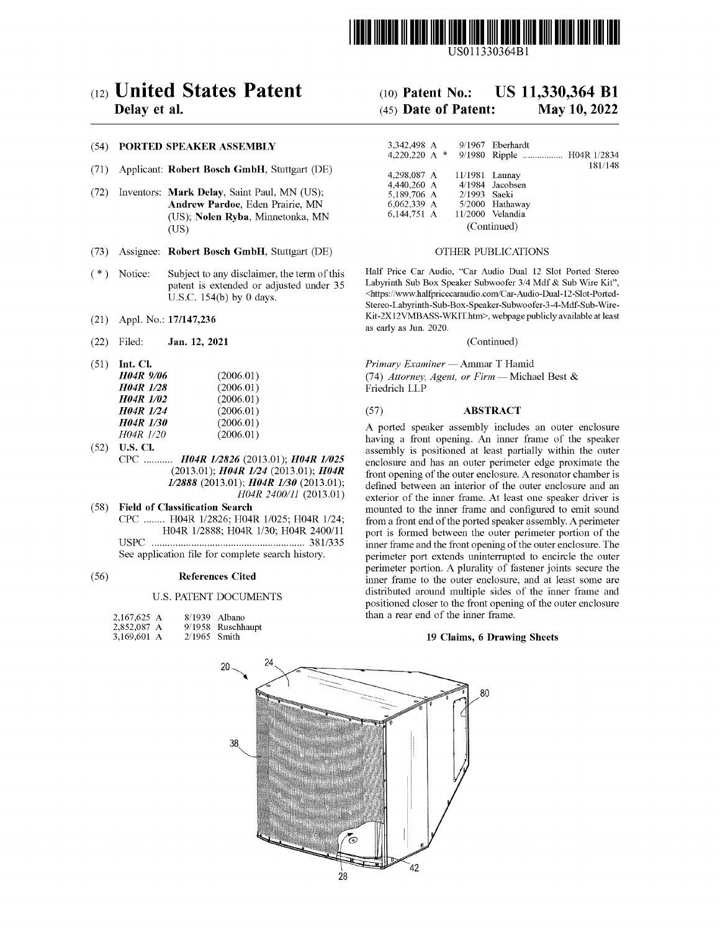

US011330364B1

### (54) PORTED SPEAKER ASSEMBLY

- (71) Applicant: Robert Bosch GmbH, Stuttgart (DE)
- (72) Inventors: Mark Delay, Saint Paul, MN (US); Andrew Pardoe, Eden Prairie, MN (US); Nolen Ryba, Minnetonka, MN  $(US)$
- (73) Assignee: Robert Bosch GmbH, Stuttgart (DE) OTHER PUBLICATIONS
- $(*)$  Notice: Subject to any disclaimer, the term of this patent is extended or adjusted under 35 U.S.C. 154(b) by 0 days.
- $(21)$  Appl. No.:  $17/147,236$
- (22) Filed: **Jan. 12, 2021**
- 

| Int. Cl.         |           |
|------------------|-----------|
| <b>H04R</b> 9/06 | (2006.01) |
| <b>H04R</b> 1/28 | (2006.01) |
| <b>H04R</b> 1/02 | (2006.01) |
| <b>H04R</b> 1/24 | (2006.01) |
| <b>H04R 1/30</b> | (2006.01) |
| H04R 1/20        | (2006.01) |
|                  |           |

- $(52)$  U.S. CI. CPC ........... H04R 1/2826 (2013.01); H04R 1/025  $(2013.01)$ ;  $H04R$   $1/24$   $(2013.01)$ ;  $H04R$  $1/2888$  (2013.01);  $H04R$   $1/30$  (2013.01); H04R 2400/11 (2013.01)
- Field of Classification Search ( 58 ) CPC ........ H04R 1/2826; H04R 1/025; H04R 1/24; H04R 1/2888; H04R 1/30; H04R 2400/11 USPC 381/335

See application file for complete search history.

## (56) References Cited

## U.S. PATENT DOCUMENTS

| 2,167,625 A | $8/1939$ Albano |                   |
|-------------|-----------------|-------------------|
| 2,852,087 A |                 | 9/1958 Ruschhaupt |
| 3,169,601 A | $2/1965$ Smith  |                   |

# (12) United States Patent (10) Patent No.: US 11,330,364 B1<br>Delay et al. (45) Date of Patent: May 10, 2022  $(45)$  Date of Patent: May 10, 2022

| 3.342.498 A<br>4,220,220 A $*$ |  |  |                  | 9/1967 Eberhardt<br>9/1980 Ripple  H04R 1/2834 | 181/148 |
|--------------------------------|--|--|------------------|------------------------------------------------|---------|
| 4,298,087 A                    |  |  | $11/1981$ Launay |                                                |         |
| 4.440.260 A 4/1984 Jacobsen    |  |  |                  |                                                |         |
| 5,189,706 A                    |  |  | – 2/1993 Saeki   |                                                |         |
| 6,062,339 A                    |  |  |                  | 5/2000 Hathaway                                |         |
| 6.144.751 A 11/2000 Velandia   |  |  |                  |                                                |         |
| (Continued)                    |  |  |                  |                                                |         |

Half Price Car Audio, "Car Audio Dual 12 Slot Ported Stereo Labyrinth Sub Box Speaker Subwoofer 3/4 Mdf & Sub Wire Kit", <https://www.halfpricecaraudio.com/Car-Audio-Dual-12-Slot-Ported-Stereo-Labyrinth-Sub-Box-Speaker-Subwoofer-3-4-Mdf-Sub-Wire-Kit-2X12VMBASS-WKIT.htm>, webpage publicly available at least as early as Jun. 2020.

(Continued)

(51) Int. Cl. **Examiner — Ammar T Hamid** Primary Examiner — Ammar T Hamid (74) Attorney, Agent, or Firm - Michael Best & Friedrich LLP

## ( 57 ) ABSTRACT

A ported speaker assembly includes an outer enclosure assembly is positioned at least partially within the outer enclosure and has an outer perimeter edge proximate the front opening of the outer enclosure . A resonator chamber is defined between an interior of the outer enclosure and an exterior of the inner frame. At least one speaker driver is mounted to the inner frame and configured to emit sound from a front end of the ported speaker assembly. A perimeter port is formed between the outer perimeter portion of the inner frame and the front opening of the outer enclosure. The perimeter port extends uninterrupted to encircle the outer perimeter portion. A plurality of fastener joints secure the inner frame to the outer enclosure, and at least some are distributed around multiple sides of the inner frame and positioned closer to the front opening of the outer enclosure than a rear end of the inner frame.

## 19 Claims, 6 Drawing Sheets

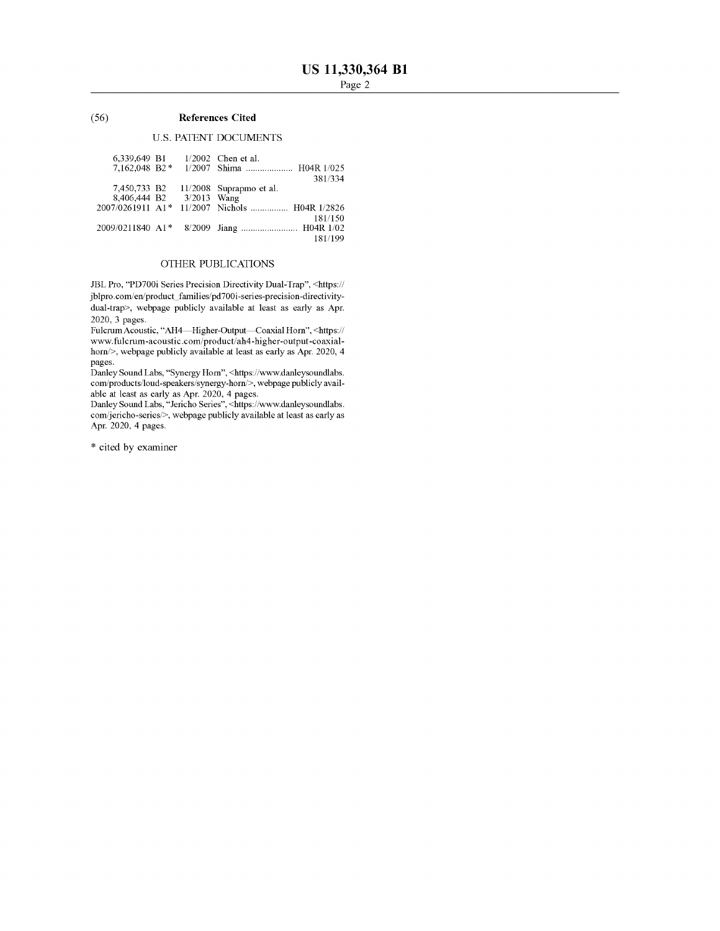## (56) References Cited

## U.S. PATENT DOCUMENTS

|                          |  | 6,339,649 B1 1/2002 Chen et al.               |
|--------------------------|--|-----------------------------------------------|
|                          |  |                                               |
|                          |  | 381/334                                       |
|                          |  | 7,450,733 B2 11/2008 Suprapmo et al.          |
| 8,406,444 B2 3/2013 Wang |  |                                               |
|                          |  | 2007/0261911 A1* 11/2007 Nichols  H04R 1/2826 |
|                          |  | 181/150                                       |
|                          |  |                                               |
|                          |  | 181/199                                       |

#### OTHER PUBLICATIONS

JBL Pro, "PD700i Series Precision Directivity Dual-Trap", <https://<br>jblpro.com/en/product\_families/pd700i-series-precision-directivitydual-trap>, webpage publicly available at least as early as Apr. 2020, 3 pages.

2020 , 3 pages . Fulcrum Acoustic , " AH4 — Higher - Output Coaxial Horn " , < https : // www.fulcrum-acoustic.com/product/ah4-higher-output-coaxial horn/>, webpage publicly available at least as early as Apr. 2020, 4 pages.<br>Danley Sound Labs, "Synergy Horn", <https://www.danleysoundlabs.

Danley Sound Labs, ''Synergy Horn´´, <https://www.danleysoundlabs.<br>com/products/loud-speakers/synergy-horn/>, webpage publicly avail-

able at least as early as Apr. 2020, 4 pages.<br>Danley Sound Labs, "Jericho Series", <https://www.danleysoundlabs.<br>com/jericho-series/>, webpage publicly available at least as early as Apr. 2020, 4 pages.

\* cited by examiner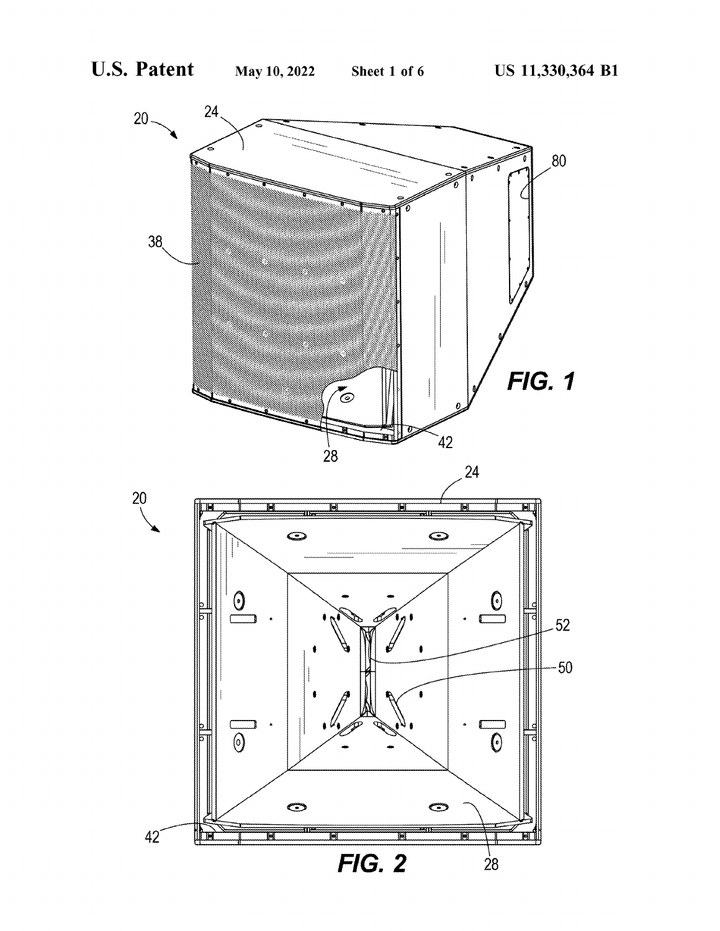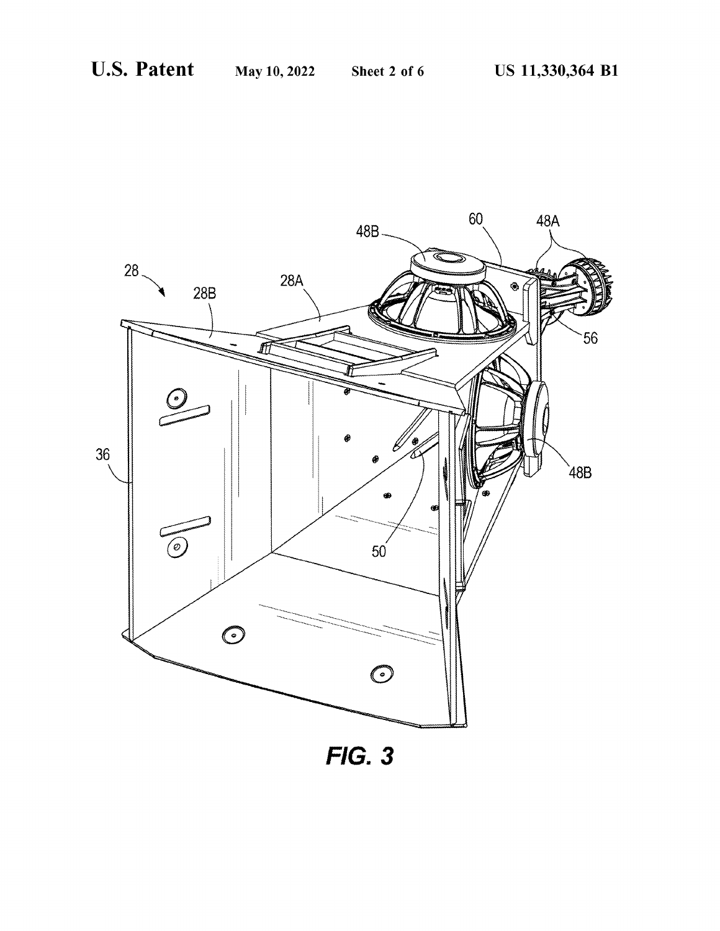

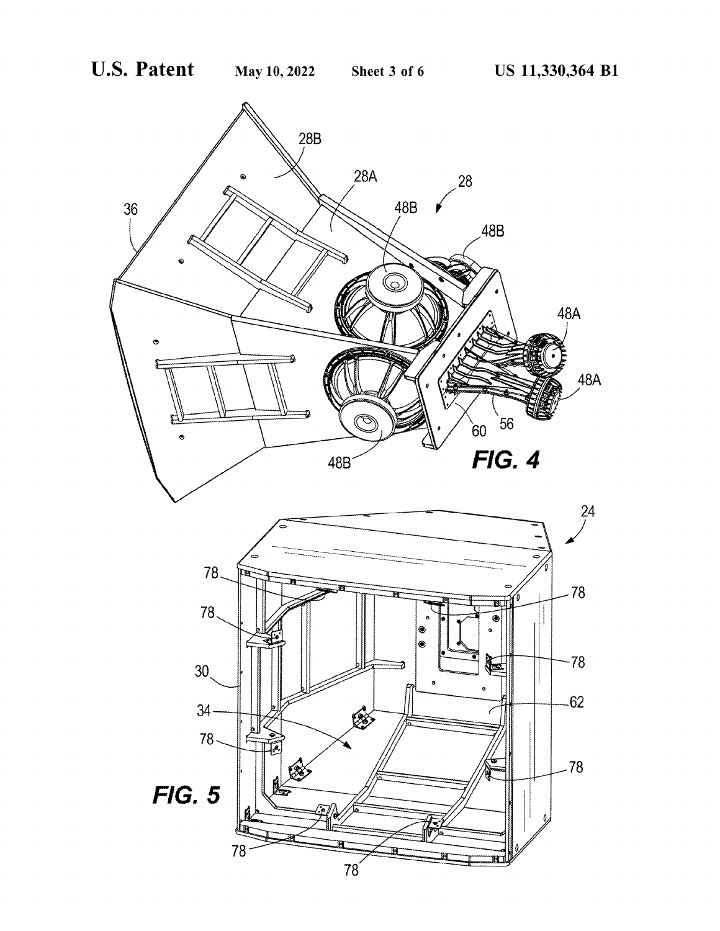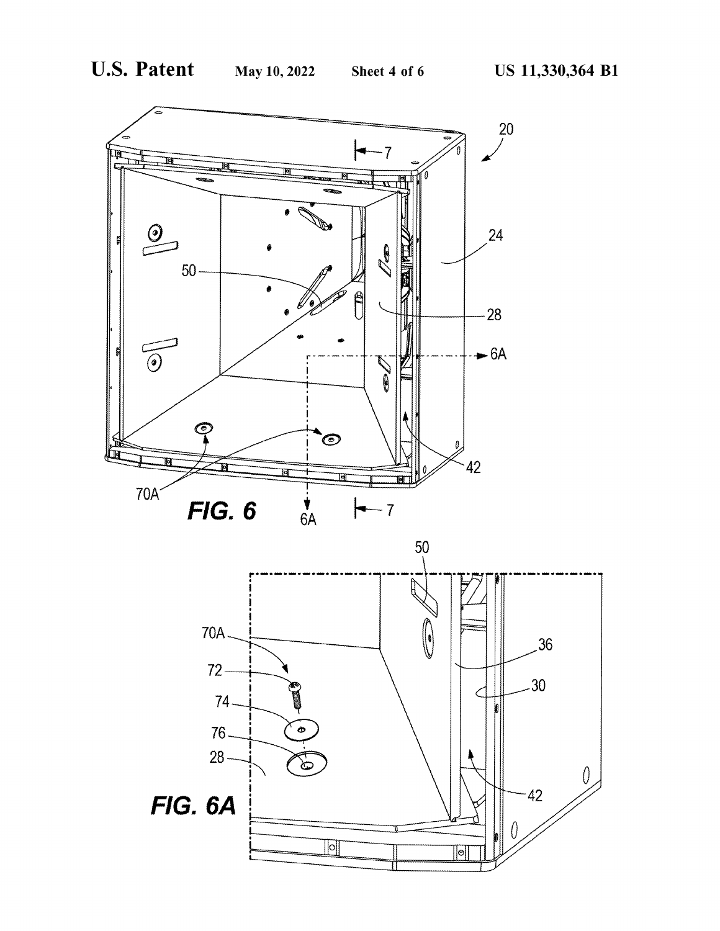

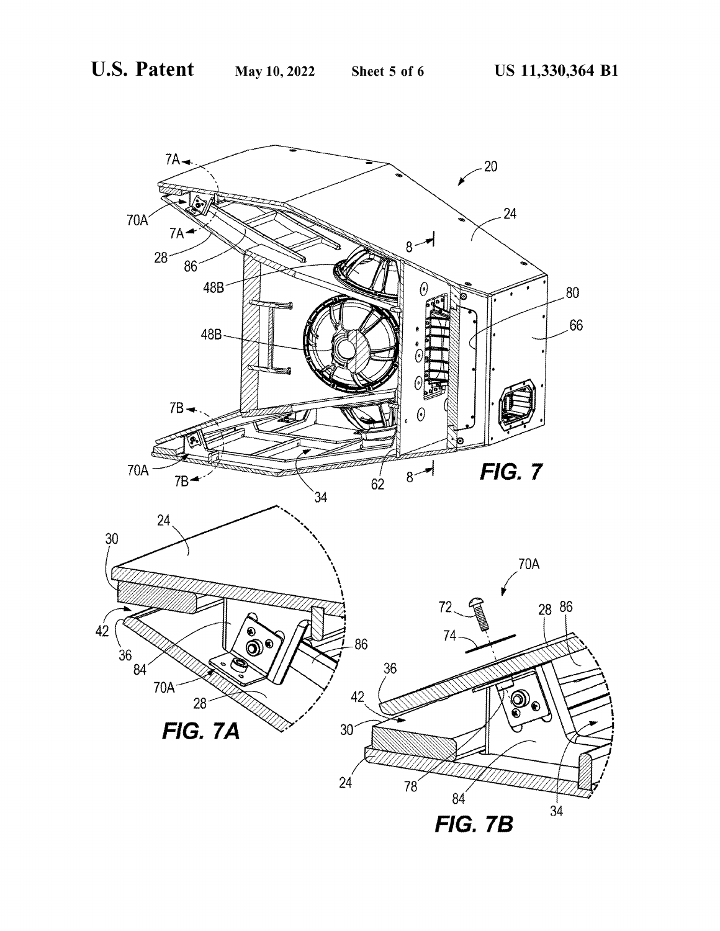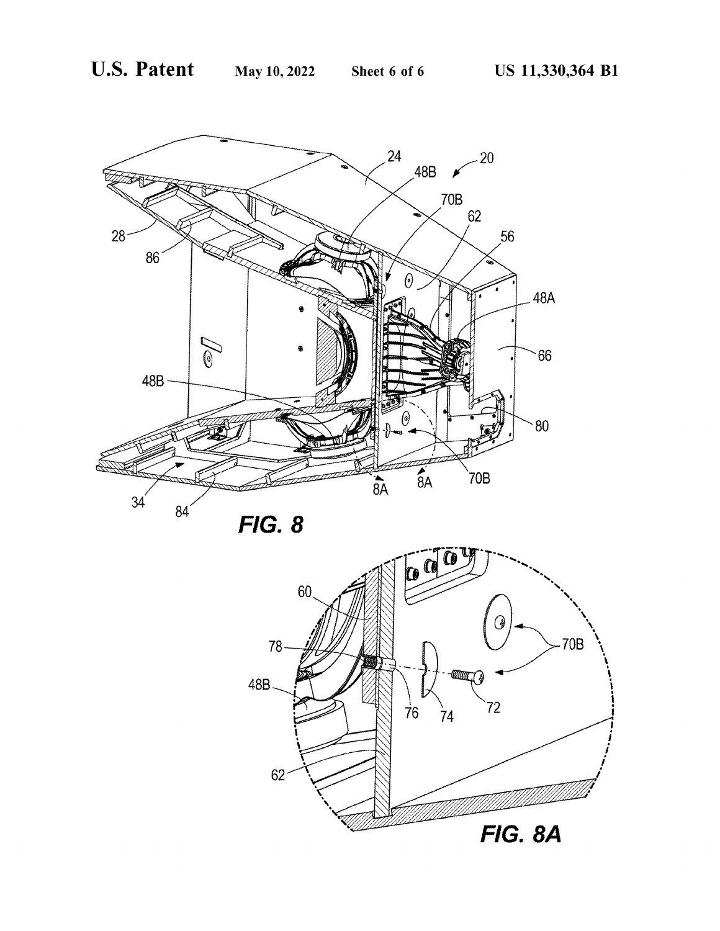



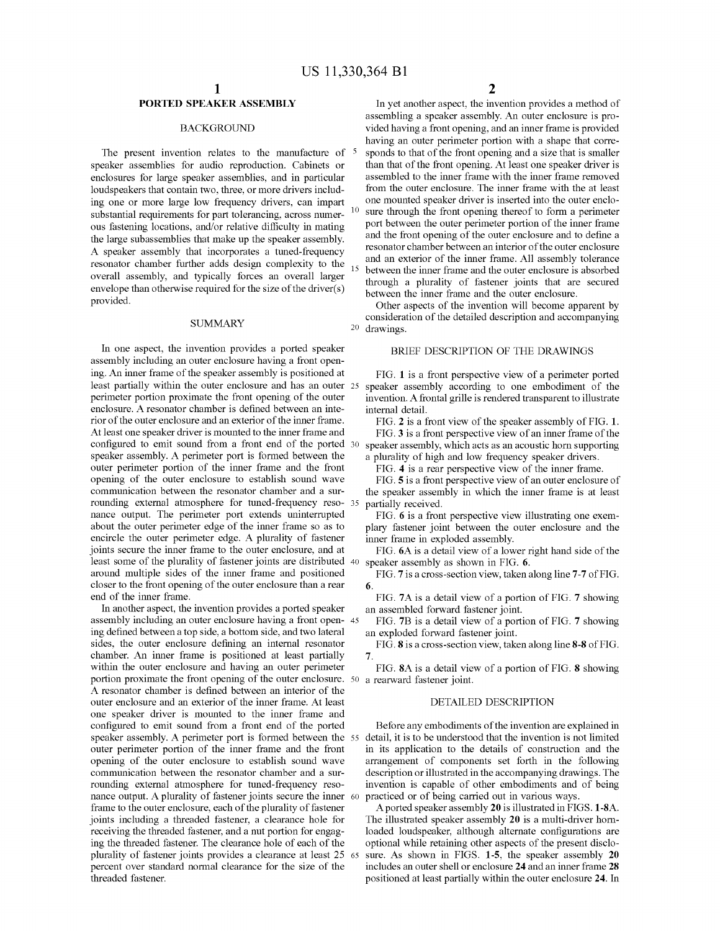## PORTED SPEAKER ASSEMBLY

## **BACKGROUND**

The present invention relates to the manufacture of  $\frac{5}{2}$ speaker assemblies for audio reproduction. Cabinets or enclosures for large speaker assemblies, and in particular loudspeakers that contain two, three, or more drivers including one or more large low frequency drivers, can impart substantial requirements for part tolerancing, across numerous fastening locations, and/or relative difficulty in mating the large subassemblies that make up the speaker assembly. A speaker assembly that incorporates a tuned-frequency resonator chamber further adds design complexity to the  $_{15}$ overall assembly, and typically forces an overall larger envelope than otherwise required for the size of the driver(s) provided.

### **SUMMARY**

In one aspect, the invention provides a ported speaker assembly including an outer enclosure having a front opening. An inner frame of the speaker assembly is positioned at least partially within the outer enclosure and has an outer 25 perimeter portion proximate the front opening of the outer enclosure. A resonator chamber is defined between an interior of the outer enclosure and an exterior of the inner frame. At least one speaker driver is mounted to the inner frame and configured to emit sound from a front end of the ported 30 speaker assembly. A perimeter port is formed between the outer perimeter portion of the inner frame and the front opening of the outer enclosure to establish sound wave communication between the resonator chamber and a surrounding external atmosphere for tuned-frequency reso- 35 nance output. The perimeter port extends uninterrupted about the outer perimeter edge of the inner frame so as to encircle the outer perimeter edge. A plurality of fastener joints secure the inner frame to the outer enclosure, and at least some of the plurality of fastener joints are distributed 40 around multiple sides of the inner frame and positioned closer to the front opening of the outer enclosure than a rear end of the inner frame.

In another aspect, the invention provides a ported speaker assembly including an outer enclosure having a front open-45 ing defined between a top side, a bottom side, and two lateral sides, the outer enclosure defining an internal resonator chamber. An inner frame is positioned at least partially within the outer enclosure and having an outer perimeter portion proximate the front opening of the outer enclosure. 50 a rearward fastener joint. A resonator chamber is defined between an interior of the outer enclosure and an exterior of the inner frame. At least one speaker driver is mounted to the inner frame and configured to emit sound from a front end of the ported speaker assembly. A perimeter port is formed between the 55 detail, it is to be understood that the invention is not limited outer perimeter portion of the inner frame and the front opening of the outer enclosure to establish sound wave communication between the resonator chamber and a surrounding external atmosphere for tuned-frequency resonance output. A plurality of fastener joints secure the inner 60 frame to the outer enclosure, each of the plurality of fastener joints including a threaded fastener, a clearance hole for receiving the threaded fastener, and a nut portion for engaging the threaded fastener. The clearance hole of each of the plurality of fastener joints provides a clearance at least 25 percent over standard normal clearance for the size of the threaded fastener.

 $\mathbf{2}$ 

In yet another aspect, the invention provides a method of assembling a speaker assembly. An outer enclosure is provided having a front opening, and an inner frame is provided having an outer perimeter portion with a shape that corresponds to that of the front opening and a size that is smaller than that of the front opening. At least one speaker driver is assembled to the inner frame with the inner frame removed from the outer enclosure. The inner frame with the at least one mounted speaker driver is inserted into the outer enclosure through the front opening thereof to form a perimeter port between the outer perimeter portion of the inner frame and the front opening of the outer enclosure and to define a resonator chamber between an interior of the outer enclosure and an exterior of the inner frame. All assembly tolerance between the inner frame and the outer enclosure is absorbed through a plurality of fastener joints that are secured between the inner frame and the outer enclosure.

Other aspects of the invention will become apparent by consideration of the detailed description and accompanying <sup>20</sup> drawings.

### BRIEF DESCRIPTION OF THE DRAWINGS

FIG. 1 is a front perspective view of a perimeter ported speaker assembly according to one embodiment of the invention. A frontal grille is rendered transparent to illustrate internal detail.

FIG. 2 is a front view of the speaker assembly of FIG. 1.

FIG. 3 is a front perspective view of an inner frame of the speaker assembly, which acts as an acoustic horn supporting a plurality of high and low frequency speaker drivers.

FIG. 4 is a rear perspective view of the inner frame.

FIG. 5 is a front perspective view of an outer enclosure of the speaker assembly in which the inner frame is at least partially received.

FIG. 6 is a front perspective view illustrating one exemplary fastener joint between the outer enclosure and the inner frame in exploded assembly.

FIG. 6A is a detail view of a lower right hand side of the speaker assembly as shown in FIG. 6.

FIG. 7 is a cross-section view, taken along line 7-7 of FIG. 6.

FIG. 7A is a detail view of a portion of FIG. 7 showing an assembled forward fastener joint.

FIG. 7B is a detail view of a portion of FIG. 7 showing an exploded forward fastener joint.

FIG. 8 is a cross-section view, taken along line 8-8 of FIG. 7.

FIG. 8A is a detail view of a portion of FIG. 8 showing

#### DETAILED DESCRIPTION

Before any embodiments of the invention are explained in in its application to the details of construction and the arrangement of components set forth in the following description or illustrated in the accompanying drawings. The invention is capable of other embodiments and of being practiced or of being carried out in various ways.

A ported speaker assembly 20 is illustrated in FIGS. 1-8A. The illustrated speaker assembly 20 is a multi-driver hornloaded loudspeaker, although alternate configurations are optional while retaining other aspects of the present disclosure. As shown in FIGS. 1-5, the speaker assembly 20 includes an outer shell or enclosure 24 and an inner frame 28 positioned at least partially within the outer enclosure 24. In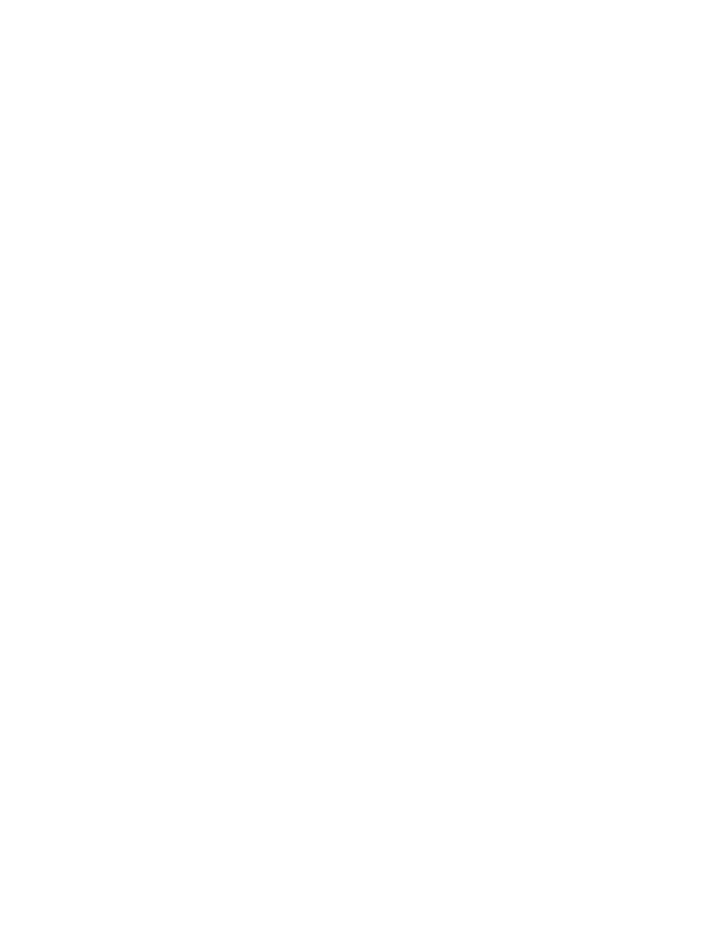some constructions, one or both of the outer enclosure 24 and the inner frame 28 are constructed of wood (e.g., solid wood, manufactured wood, or particle board), and may be constructed of a plurality of wood pieces glued and/or fastened together. The inner frame 28 of the illustrated 5 construction forms an acoustic horn. As shown in FIG. 6, the outer enclosure 24 defines a front opening 30 leading to an internal resonator chamber 34 that cooperates with a port 42 to form a tuned-frequency resonator system (or so-called "bass reflex" system). As will be appreciated by those of  $10$ skill in the art, the tuned-frequency resonator system is an acoustic example theoretically following the model of a mechanical spring-mass system in which the resonator chamber 34 has a prescribed air volume that correlates to spring stiffness, while the mass is represented by the con-15 figuration of the port 42, in particular decreasing with increasing cross-section area and increasing with increasing length. The inner frame 28 has an outer perimeter portion proximate the front opening 30 of the outer enclosure 24. For example, a front edge 36 of the inner frame 28 may 20 constitute the outer perimeter portion, positioned directly within the front opening 30 of the outer enclosure 24. However, alternate constructions are envisioned, particularly where the front edge 36 extends out forward of the front opening  $30$  or is recessed therefrom. The shape of the  $25$ perimeter portion of the inner frame 28 corresponds to that of the front opening 30, although it is smaller. As described in further detail below, the port 42 is a perimeter port 42 formed between the outer perimeter portion (e.g., front edge 36 as shown) of the inner frame 28 and the front opening 30 30 of the outer enclosure 24. The perimeter port 42 provides sound wave communication between the internal resonator chamber 34 and the surrounding external atmosphere. The perimeter port 42 extends uninterrupted about the outer perimeter of the inner frame 28 so as to encircle it. The 35 perimeter port 42 has a rectangular shape in front view, owing to the rectangular cross-sections of both the front opening 30 and the outer perimeter portion of the inner frame 28. A front grille 38 (FIG. 1, shown with partial breakaway) constructed of mesh, screen, fabric, perforated 40 sheeting or another suitable material is positioned at the front end of the speaker assembly 20 and may be secured at the front opening 30.

The speaker assembly 20 includes at least one speaker driver 48A, 48B mounted to the inner frame 28 and con-45 figured to emit sound from the front end of the speaker assembly 20. The speaker assembly 20, and particularly the inner frame 28, can define a central axis for sound projection that is directly out of the page as viewed in the front view of FIG. 2. The illustrated inner frame 28 forms an acoustic 50 horn for precisely controlling the directivity of a wide frequency range of sound. The inner frame 28 can thus include a primary flare or cone portion 28A and a secondary flare or cone portion 28B further forward and extending to the front edge 36. A plurality of speaker drivers 48A, 48B 55 supported by the illustrated inner frame 28 includes drivers (i.e., electrodynamic audio transducers) of different types, varying by frequency output. For example, the speaker assembly 20 includes a plurality (e.g., two) of high frequency drivers 48A and a plurality (e.g., four) of low 60 frequency drivers 48B. As can be seen in FIGS. 3 and 4, the low frequency drivers 48B can be distributed around multiple sides of the inner frame 28, for example on all four sides about the central axis. Openings 50 through the inner frame 28 are provided at the locations of the low frequency drivers 48B so as to enable sound transmission from an outside of the inner frame 28 (within the resonator chamber

4

34) to an inside of the inner frame 28. The low frequency drivers 48B are positioned farther forward than the high frequency drivers 48A, which are coupled to the rear end or rear panel 60 of the inner frame 28. Although not required in all embodiments, the rear of inner frame 28 includes an elongate slot opening 52 (FIG. 2) forming a horn inlet to which the high frequency drivers 48A are coupled through a wave guide 56.

The inner frame rear panel  $60$  is attached to a transverse panel 62 of the outer enclosure 24. The transverse panel 62 defines a rear end of the resonator chamber 34, and as shown can be positioned forward of a rearmost outer panel 66 of the outer enclosure 24. The transverse panel 62 can include an opening through which the high frequency drivers 48A and the wave guide 56 can be passed, from front to rear, during assembly. Between the transverse panel 62 and the rearmost outer panel 66, the wave guide 56 and high frequency drivers 48A can be accommodated in a chamber divided from and acoustically sealed from the resonator chamber 34. Attachment between the outer enclosure 24 and the inner frame 28 is made by a plurality of fastener joints, including forward and rearward fastener joints 70A, 70B. At least some of the forward fastener joints 70A are distributed around multiple sides of the inner frame 28 and positioned closer to the front opening 30 of the outer enclosure than a rear end of the inner frame 28, e.g., rear panel 60. The forward fastener joints 70A are positioned within the frontal 30 percent of the inner frame front-rear depth, or within the frontal 20 percent thereof, in some constructions. The forward fastener joints 70A can be provided in an arrangement of two per side (top, bottom, left, and right sides) for a total of eight. The forward fastener joints 70A can be partially or fully recessed in an interior surface of the inner frame 28. Unlike the forward fastener joints 70A, the rearward fastener joints 70B all secure along parallel axes (e.g., front-rear). While the forward fastener joints 70A are accessible for assembly from the interior of the inner frame 28 (e.g., the acoustic horn surface), the rearward fastener joints 70B are accessible for assembly through one or more access ports 80 in the outer enclosure 24, rearward of the resonator chamber 34. The access ports 80 can be closed with removable panels upon final assembly and operation. In contrast, the resonator chamber 34 in which the speaker drivers 48B are positioned may be completely devoid of removable panels and access ports around the side walls of the outer enclosure 24.

In some constructions, the fastener placement is selected to minimize unwanted panel vibration and resonance in either or both of the inner frame 28 and the outer enclosure 24. For example, placing some or all of the fastener joints 70A, 70B at antinodes of the natural panel resonances minimizes the extent to which they can be excited. There are varying degrees of optimization which can be done in this regard, including in some cases FEA simulation-based optimization.

The overall envelope of the speaker assembly 20 can be quite large in some constructions, for example at least 300 liters in volume, and in some cases 400 liters or more in volume. Thus, it follows that the outer enclosure 24 and the inner frame 28 are quite large, and with the numerous fastener joints 70A, 70B, may introduce a significant amount of tolerance stack-up, especially when one or both of the outer enclosure 24 and the inner frame 28 are constructed of wood as opposed to precision-molded plastics. However, because the perimeter port 42 is formed between the outer perimeter portion of the inner frame 28 and the front opening 30 of the outer enclosure 24, assembly tolerances that may affect the placement (even if significantly off-center) of the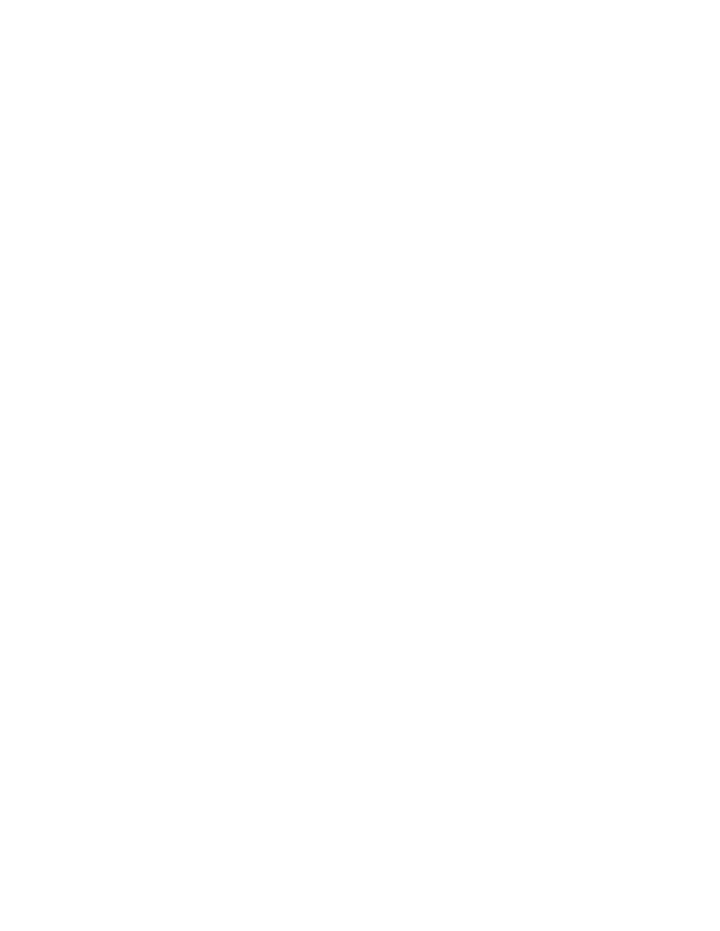inner frame 28 in the front opening 30 do not affect the performance of the speaker assembly 20, vis-à-vis the bassreflex porting provided by the port 42. The performance is a function of the total cross-section area of the port 42 and the volume of the resonator chamber 34, regardless of the 5 shape or layout of the port 42. As a result, any shifting to one side that reduces port area simultaneously results in increasing the port area on the opposite side. The perimeter port 42 also maximizes space efficiency for the given port and inner frame sizing by not requiring an entire offsetting of the inner 10 frame  $28$  in the front opening  $30$  to make room for a designated port location (e.g., conventional circular port).

The fastener joints 70A, 70B are configured to absorb the assembly tolerance between the outer enclosure 24 and the inner frame 28. The tolerances on the overall dimensions of 15 the speaker assembly 20 are determined only by the pieces in the outer enclosure 24. The inner frame 28 has its own tolerances, and the tolerance stack-up is taken up by the fastener joints 70A, 70B that mount the two together. Because the performance of the resonator chamber 34 is not 20 dependent upon a precise placement of the inner frame 28 within the front opening 30, this is advantageously leveraged in order to preclude the need to hold very strict tolerances for assembly of the inner frame 28 to the outer enclosure 24. This is accomplished through the fastener 25 joints 70A, 70B, each of which includes a threaded fastener 72, a washer 74, a clearance hole 76 for receiving the threaded fastener 72, and a nut portion 78 for engaging the threaded fastener 72. The threaded fasteners 72 can be of a relatively large size (e.g., M8, M10 or larger). As best shown 30 in FIGS. 7B and 8A, the nut portions 78 can be formed as part of an angle bracket in the case of the forward fastener joints 70A, and can be formed as T-nuts in the case of the rearward fastener joints 70B. However, the nut portions 78 can be formed in a variety of ways in alternate constructions, 35 for example, spring nuts, speed nuts, self-clinching nuts, locking nuts, or in some cases conventional nuts. The angle brackets at the forward fastener joints 70A can be secured to structural ribbing 84 protruding inward from the inner wall surface of the outer enclosure 24. As shown in FIGS. 7 and 40 8, similar structural ribbing 86 can be provided to protrude outward from the outer wall surface of the inner frame 28. The respective ribbing 84, 86 can abut, form a sliding interface, overlap in a radial direction, or otherwise interface with each other. As shown, the angle brackets at the forward 45 fastener joints 70A have a portion that lies coplanar with (e.g., and directly against) the outer wall surface of the inner frame 28, and this negates the need for additional brackets or hardware extending from the inner frame 28. In other constructions, a single bracket between the inner frame 28 50 and the outer enclosure 24 can have a portion that lies coplanar with (e.g., and directly against) the inner wall surface of the outer enclosure 24. In either case, a single bracket is used at each forward fastener joint 70A, despite that the outer wall surface of the inner frame 28 and the inner 55 wall surface of the outer enclosure 24 are non-parallel, i.e., arranged at a skew or oblique angle.

Even for the large-sized threaded fasteners 72, the washers 74 can be oversized (e.g., outer diameter of 5 times or more the shank diameter of the threaded fastener 72). The 60 reason for oversizing the washers 74 is to ensure that the washers 74 sufficiently extend beyond the clearance holes 76 when assembled. Given that these fastener joints 70A, 70B are designed as the part of the speaker assembly 20 that accommodates assembly tolerance between the primary 65 nested components of the outer enclosure 24 and the inner frame 28, the clearance hole 76 of each of the plurality of

6

fastener joints 70A, 70B provides a clearance at least 25 percent over (e.g., 35 percent over) the standard "normal" clearance for the size of the threaded fastener 72. The standard normal fastener clearance diameter is determined by an American or international engineering organization or governing body, e.g., ASME B18.2.8. Although all of the fastener joints 70A, 70B can be provided with identical fasteners 72 and clearance dimensioning throughout the sum total of interfaces between the outer enclosure 24 and the inner frame 28, it is also contemplated that intentional variation may be utilized at different ones of the fastener joints 70A, 70B.

The method of assembly of the speaker assembly 20 is significantly easier than most speaker assemblies of similar size and makeup. According to aspects of the present disclosure, the low frequency speaker drivers 48B are mounted to the inner frame 28 prior to insertion of the inner frame into the outer enclosure 24. Thus, a subassembly of one or more speaker drivers is created outside of and separate from the outer enclosure 24. This removes the requirement for access panels to install the low frequency speaker drivers 48B, and as such, the outer enclosure 24 may be provided with none. In some constructions, the high frequency driver(s) 48A and/or supporting electronics (e.g., frequency-filtering crossover network) are assembled to the inner frame 28 prior to installation into the outer enclosure 24. To this extent of this concept, a complete subassembly unit (FIGS. 3 and 4) may be formed to include the inner frame 28, multiple speaker drivers, including multiple high frequency drivers 48A (e.g., and associated wave guide 56) and multiple low frequency drivers 48B, and corresponding crossover networks prior to assembly into the outer enclosure 24. Assembly is completed by rearward insertion of the subassembly unit with the inner frame 28 through the front opening 30 of the outer enclosure 24 to a depth at which the fastener joints 70A, 70B can be secured. As mentioned above, precision at this step is not required as the fastener joints 70A, 70B absorb the assembly tolerance and uniformity around the perimeter port 42 is not a prerequisite to achieve the prescribed performance. However, if it is desired to precisely place the inner frame 28 with respect to the outer enclosure  $24$  (e.g., centered in the front opening  $30$ ), this may be achieved by the use of temporary or permanent spacers between the outer enclosure 24 and the inner frame 28 to set the desired spacing prior to final securement of the fastener joints 70A, 70B.

Various aspects of the present disclosure are set forth in the following claims.

What is claimed is:

1. A ported speaker assembly comprising:

an outer enclosure having a front opening;

- an inner frame positioned at least partially within the outer enclosure and having an outer perimeter portion proximate the front opening of the outer enclosure;
- a resonator chamber defined between an interior of the outer enclosure and an exterior of the inner frame;
- at least one speaker driver mounted to the inner frame and configured to emit sound from a front end of the ported speaker assembly;
- a perimeter port formed between the outer perimeter portion of the inner frame and the front opening of the outer enclosure to establish sound wave communication between the resonator chamber and a surrounding external atmosphere for tuned-frequency resonance output, and wherein the perimeter port extends uninterrupted about the outer perimeter edge of the inner frame so as to encircle the outer perimeter edge; and